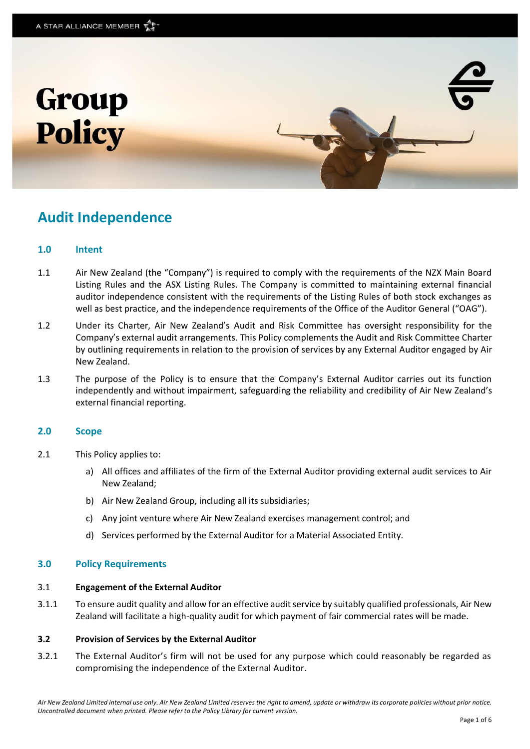

# **Audit Independence**

# **1.0 Intent**

- 1.1 Air New Zealand (the "Company") is required to comply with the requirements of the NZX Main Board Listing Rules and the ASX Listing Rules. The Company is committed to maintaining external financial auditor independence consistent with the requirements of the Listing Rules of both stock exchanges as well as best practice, and the independence requirements of the Office of the Auditor General ("OAG").
- 1.2 Under its Charter, Air New Zealand's Audit and Risk Committee has oversight responsibility for the Company's external audit arrangements. This Policy complements the Audit and Risk Committee Charter by outlining requirements in relation to the provision of services by any External Auditor engaged by Air New Zealand.
- 1.3 The purpose of the Policy is to ensure that the Company's External Auditor carries out its function independently and without impairment, safeguarding the reliability and credibility of Air New Zealand's external financial reporting.

# **2.0 Scope**

- 2.1 This Policy applies to:
	- a) All offices and affiliates of the firm of the External Auditor providing external audit services to Air New Zealand;
	- b) Air New Zealand Group, including all its subsidiaries;
	- c) Any joint venture where Air New Zealand exercises management control; and
	- d) Services performed by the External Auditor for a Material Associated Entity.

# **3.0 Policy Requirements**

#### 3.1 **Engagement of the External Auditor**

3.1.1 To ensure audit quality and allow for an effective audit service by suitably qualified professionals, Air New Zealand will facilitate a high-quality audit for which payment of fair commercial rates will be made.

#### **3.2 Provision of Services by the External Auditor**

3.2.1 The External Auditor's firm will not be used for any purpose which could reasonably be regarded as compromising the independence of the External Auditor.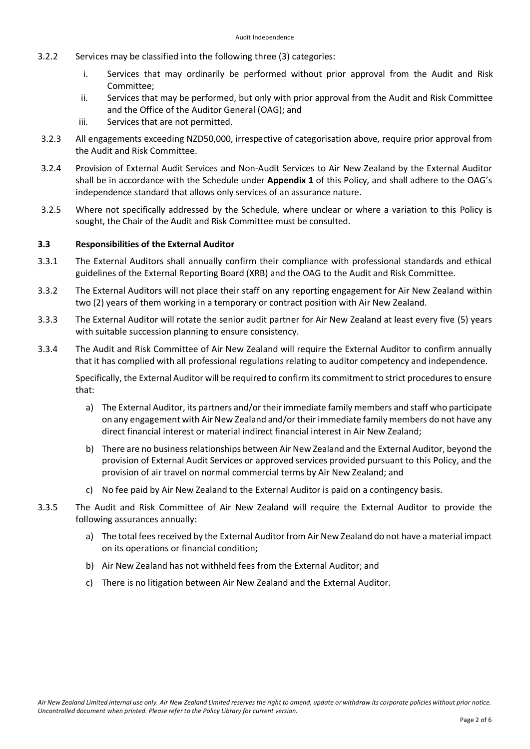- 3.2.2 Services may be classified into the following three (3) categories:
	- i. Services that may ordinarily be performed without prior approval from the Audit and Risk Committee;
	- ii. Services that may be performed, but only with prior approval from the Audit and Risk Committee and the Office of the Auditor General (OAG); and
	- iii. Services that are not permitted.
- 3.2.3 All engagements exceeding NZD50,000, irrespective of categorisation above, require prior approval from the Audit and Risk Committee.
- 3.2.4 Provision of External Audit Services and Non-Audit Services to Air New Zealand by the External Auditor shall be in accordance with the Schedule under **Appendix 1** of this Policy, and shall adhere to the OAG's independence standard that allows only services of an assurance nature.
- 3.2.5 Where not specifically addressed by the Schedule, where unclear or where a variation to this Policy is sought, the Chair of the Audit and Risk Committee must be consulted.

# **3.3 Responsibilities of the External Auditor**

- 3.3.1 The External Auditors shall annually confirm their compliance with professional standards and ethical guidelines of the External Reporting Board (XRB) and the OAG to the Audit and Risk Committee.
- 3.3.2 The External Auditors will not place their staff on any reporting engagement for Air New Zealand within two (2) years of them working in a temporary or contract position with Air New Zealand.
- 3.3.3 The External Auditor will rotate the senior audit partner for Air New Zealand at least every five (5) years with suitable succession planning to ensure consistency.
- 3.3.4 The Audit and Risk Committee of Air New Zealand will require the External Auditor to confirm annually that it has complied with all professional regulations relating to auditor competency and independence.

Specifically, the External Auditor will be required to confirm its commitment to strict procedures to ensure that:

- a) The External Auditor, its partners and/or their immediate family members and staff who participate on any engagement with Air New Zealand and/or their immediate family members do not have any direct financial interest or material indirect financial interest in Air New Zealand;
- b) There are no business relationships between Air New Zealand and the External Auditor, beyond the provision of External Audit Services or approved services provided pursuant to this Policy, and the provision of air travel on normal commercial terms by Air New Zealand; and
- c) No fee paid by Air New Zealand to the External Auditor is paid on a contingency basis.
- 3.3.5 The Audit and Risk Committee of Air New Zealand will require the External Auditor to provide the following assurances annually:
	- a) The total fees received by the External Auditor from Air New Zealand do not have a material impact on its operations or financial condition;
	- b) Air New Zealand has not withheld fees from the External Auditor; and
	- c) There is no litigation between Air New Zealand and the External Auditor.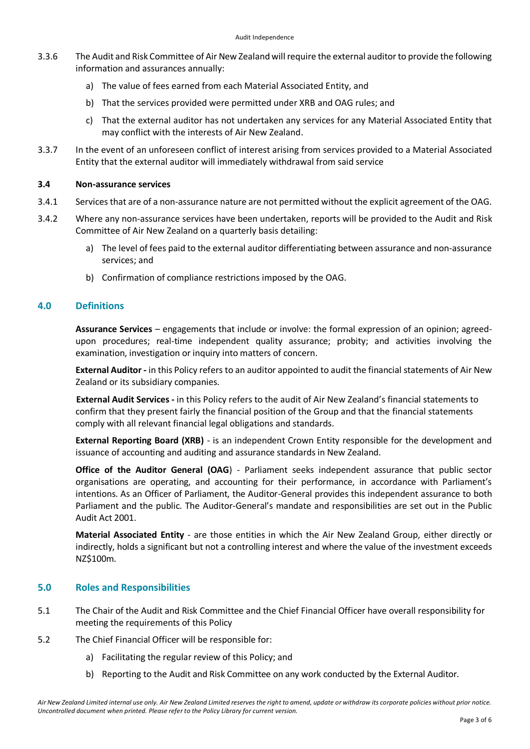- 3.3.6 The Audit and Risk Committee of Air New Zealand will require the external auditor to provide the following information and assurances annually:
	- a) The value of fees earned from each Material Associated Entity, and
	- b) That the services provided were permitted under XRB and OAG rules; and
	- c) That the external auditor has not undertaken any services for any Material Associated Entity that may conflict with the interests of Air New Zealand.
- 3.3.7 In the event of an unforeseen conflict of interest arising from services provided to a Material Associated Entity that the external auditor will immediately withdrawal from said service

#### **3.4 Non-assurance services**

- 3.4.1 Services that are of a non-assurance nature are not permitted without the explicit agreement of the OAG.
- 3.4.2 Where any non-assurance services have been undertaken, reports will be provided to the Audit and Risk Committee of Air New Zealand on a quarterly basis detailing:
	- a) The level of fees paid to the external auditor differentiating between assurance and non-assurance services; and
	- b) Confirmation of compliance restrictions imposed by the OAG.

# **4.0 Definitions**

**Assurance Services** – engagements that include or involve: the formal expression of an opinion; agreedupon procedures; real-time independent quality assurance; probity; and activities involving the examination, investigation or inquiry into matters of concern.

**External Auditor -** in this Policy refers to an auditor appointed to audit the financial statements of Air New Zealand or its subsidiary companies.

**External Audit Services -** in this Policy refers to the audit of Air New Zealand's financial statements to confirm that they present fairly the financial position of the Group and that the financial statements comply with all relevant financial legal obligations and standards.

**External Reporting Board (XRB)** - is an independent Crown Entity responsible for the development and issuance of accounting and auditing and assurance standards in New Zealand.

**Office of the Auditor General (OAG**) - Parliament seeks independent assurance that public sector organisations are operating, and accounting for their performance, in accordance with Parliament's intentions. As an Officer of Parliament, the Auditor-General provides this independent assurance to both Parliament and the public. The Auditor-General's mandate and responsibilities are set out in the Public Audit Act 2001.

**Material Associated Entity** - are those entities in which the Air New Zealand Group, either directly or indirectly, holds a significant but not a controlling interest and where the value of the investment exceeds NZ\$100m.

#### **5.0 Roles and Responsibilities**

- 5.1 The Chair of the Audit and Risk Committee and the Chief Financial Officer have overall responsibility for meeting the requirements of this Policy
- 5.2 The Chief Financial Officer will be responsible for:
	- a) Facilitating the regular review of this Policy; and
	- b) Reporting to the Audit and Risk Committee on any work conducted by the External Auditor.

*Air New Zealand Limited internal use only. Air New Zealand Limited reserves the right to amend, update or withdraw its corporate policies without prior notice. Uncontrolled document when printed. Please refer to the Policy Library for current version.*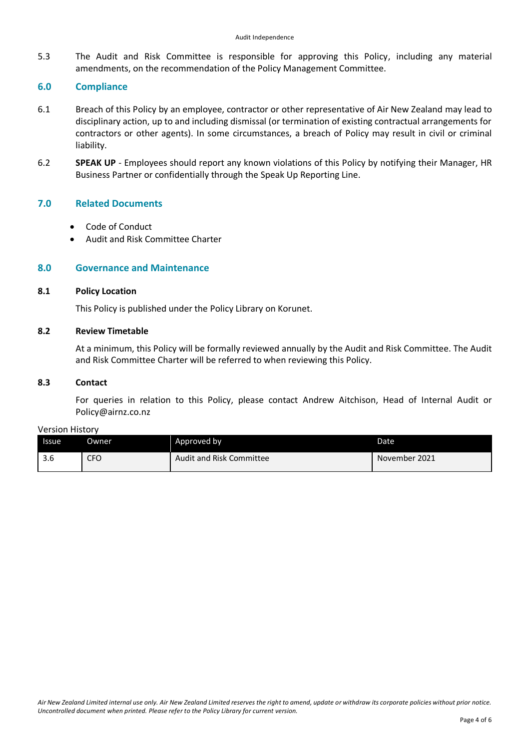5.3 The Audit and Risk Committee is responsible for approving this Policy, including any material amendments, on the recommendation of the Policy Management Committee.

# **6.0 Compliance**

- 6.1 Breach of this Policy by an employee, contractor or other representative of Air New Zealand may lead to disciplinary action, up to and including dismissal (or termination of existing contractual arrangements for contractors or other agents). In some circumstances, a breach of Policy may result in civil or criminal liability.
- 6.2 **SPEAK UP** Employees should report any known violations of this Policy by notifying their Manager, HR Business Partner or confidentially through the Speak Up Reporting Line.

# **7.0 Related Documents**

- Code of Conduct
- Audit and Risk Committee Charter

# **8.0 Governance and Maintenance**

# **8.1 Policy Location**

This Policy is published under the Policy Library on Korunet.

# **8.2 Review Timetable**

At a minimum, this Policy will be formally reviewed annually by the Audit and Risk Committee. The Audit and Risk Committee Charter will be referred to when reviewing this Policy.

#### **8.3 Contact**

For queries in relation to this Policy, please contact Andrew Aitchison, Head of Internal Audit or Policy@airnz.co.nz

#### Version History

| <b>Issue</b>         | <b>Owner</b> | Approved by              | Date          |
|----------------------|--------------|--------------------------|---------------|
| $\sim$ $\sim$<br>J.O | <b>CFO</b>   | Audit and Risk Committee | November 2021 |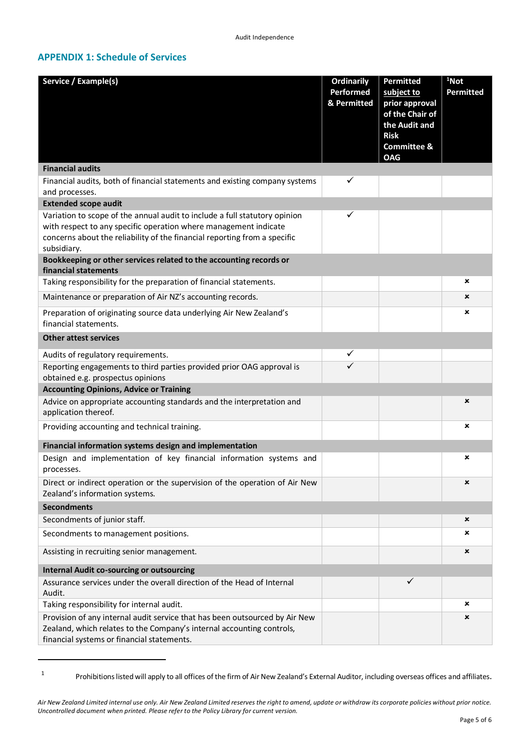# **APPENDIX 1: Schedule of Services**

| Service / Example(s)                                                                                                                                                                               | <b>Ordinarily</b>        | Permitted                             | <sup>1</sup> Not |  |  |
|----------------------------------------------------------------------------------------------------------------------------------------------------------------------------------------------------|--------------------------|---------------------------------------|------------------|--|--|
|                                                                                                                                                                                                    | Performed<br>& Permitted | subject to<br>prior approval          | Permitted        |  |  |
|                                                                                                                                                                                                    |                          | of the Chair of<br>the Audit and      |                  |  |  |
|                                                                                                                                                                                                    |                          | <b>Risk</b><br><b>Committee &amp;</b> |                  |  |  |
|                                                                                                                                                                                                    |                          | <b>OAG</b>                            |                  |  |  |
| <b>Financial audits</b>                                                                                                                                                                            |                          |                                       |                  |  |  |
| Financial audits, both of financial statements and existing company systems<br>and processes.                                                                                                      |                          |                                       |                  |  |  |
| <b>Extended scope audit</b>                                                                                                                                                                        |                          |                                       |                  |  |  |
| Variation to scope of the annual audit to include a full statutory opinion<br>with respect to any specific operation where management indicate                                                     | ✓                        |                                       |                  |  |  |
| concerns about the reliability of the financial reporting from a specific                                                                                                                          |                          |                                       |                  |  |  |
| subsidiary.                                                                                                                                                                                        |                          |                                       |                  |  |  |
| Bookkeeping or other services related to the accounting records or<br>financial statements                                                                                                         |                          |                                       |                  |  |  |
| Taking responsibility for the preparation of financial statements.                                                                                                                                 |                          |                                       | ×                |  |  |
| Maintenance or preparation of Air NZ's accounting records.                                                                                                                                         |                          |                                       | ×                |  |  |
| Preparation of originating source data underlying Air New Zealand's<br>financial statements.                                                                                                       |                          |                                       | ×                |  |  |
| <b>Other attest services</b>                                                                                                                                                                       |                          |                                       |                  |  |  |
| Audits of regulatory requirements.                                                                                                                                                                 | ✓                        |                                       |                  |  |  |
| Reporting engagements to third parties provided prior OAG approval is<br>obtained e.g. prospectus opinions                                                                                         | ✓                        |                                       |                  |  |  |
| <b>Accounting Opinions, Advice or Training</b>                                                                                                                                                     |                          |                                       |                  |  |  |
| Advice on appropriate accounting standards and the interpretation and<br>application thereof.                                                                                                      |                          |                                       | ×                |  |  |
| Providing accounting and technical training.                                                                                                                                                       |                          |                                       | ×                |  |  |
| Financial information systems design and implementation                                                                                                                                            |                          |                                       |                  |  |  |
| Design and implementation of key financial information systems and<br>processes.                                                                                                                   |                          |                                       | ×                |  |  |
| Direct or indirect operation or the supervision of the operation of Air New<br>Zealand's information systems.                                                                                      |                          |                                       | ×                |  |  |
| <b>Secondments</b>                                                                                                                                                                                 |                          |                                       |                  |  |  |
| Secondments of junior staff.                                                                                                                                                                       |                          |                                       | ×                |  |  |
| Secondments to management positions.                                                                                                                                                               |                          |                                       | ×                |  |  |
| Assisting in recruiting senior management.                                                                                                                                                         |                          |                                       | ×                |  |  |
| <b>Internal Audit co-sourcing or outsourcing</b>                                                                                                                                                   |                          |                                       |                  |  |  |
| Assurance services under the overall direction of the Head of Internal<br>Audit.                                                                                                                   |                          | ✓                                     |                  |  |  |
| Taking responsibility for internal audit.                                                                                                                                                          |                          |                                       | ×                |  |  |
| Provision of any internal audit service that has been outsourced by Air New<br>Zealand, which relates to the Company's internal accounting controls,<br>financial systems or financial statements. |                          |                                       | ×                |  |  |

1

Prohibitions listed will apply to all offices of the firm of Air New Zealand's External Auditor, including overseas offices and affiliates.

*Air New Zealand Limited internal use only. Air New Zealand Limited reserves the right to amend, update or withdraw its corporate policies without prior notice. Uncontrolled document when printed. Please refer to the Policy Library for current version.*